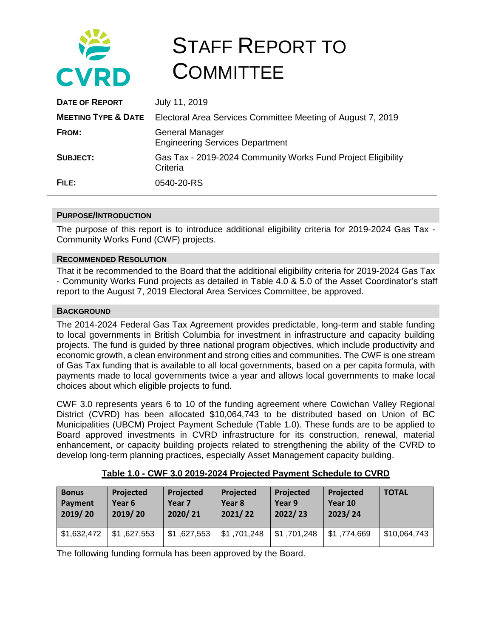

# STAFF REPORT TO **COMMITTEE**

| <b>DATE OF REPORT</b>          | July 11, 2019                                                            |
|--------------------------------|--------------------------------------------------------------------------|
| <b>MEETING TYPE &amp; DATE</b> | Electoral Area Services Committee Meeting of August 7, 2019              |
| FROM:                          | <b>General Manager</b><br><b>Engineering Services Department</b>         |
| SUBJECT:                       | Gas Tax - 2019-2024 Community Works Fund Project Eligibility<br>Criteria |
| FILE:                          | 0540-20-RS                                                               |

### **PURPOSE/INTRODUCTION**

The purpose of this report is to introduce additional eligibility criteria for 2019-2024 Gas Tax - Community Works Fund (CWF) projects.

### **RECOMMENDED RESOLUTION**

That it be recommended to the Board that the additional eligibility criteria for 2019-2024 Gas Tax - Community Works Fund projects as detailed in Table 4.0 & 5.0 of the Asset Coordinator's staff report to the August 7, 2019 Electoral Area Services Committee, be approved.

## **BACKGROUND**

The 2014-2024 Federal Gas Tax Agreement provides predictable, long-term and stable funding to local governments in British Columbia for investment in infrastructure and capacity building projects. The fund is guided by three national program objectives, which include productivity and economic growth, a clean environment and strong cities and communities. The CWF is one stream of Gas Tax funding that is available to all local governments, based on a per capita formula, with payments made to local governments twice a year and allows local governments to make local choices about which eligible projects to fund.

CWF 3.0 represents years 6 to 10 of the funding agreement where Cowichan Valley Regional District (CVRD) has been allocated \$10,064,743 to be distributed based on Union of BC Municipalities (UBCM) Project Payment Schedule (Table 1.0). These funds are to be applied to Board approved investments in CVRD infrastructure for its construction, renewal, material enhancement, or capacity building projects related to strengthening the ability of the CVRD to develop long-term planning practices, especially Asset Management capacity building.

| <b>Bonus</b> | <b>Projected</b> | Projected         | Projected   | Projected   | Projected   | <b>TOTAL</b> |
|--------------|------------------|-------------------|-------------|-------------|-------------|--------------|
| Payment      | Year 6           | Year <sub>7</sub> | Year 8      | Year 9      | Year 10     |              |
| 2019/20      | 2019/20          | 2020/21           | 2021/22     | 2022/23     | 2023/24     |              |
| \$1,632,472  | \$1,627,553      | \$1,627,553       | \$1,701,248 | \$1,701,248 | \$1,774,669 | \$10,064,743 |

|  | Table 1.0 - CWF 3.0 2019-2024 Projected Payment Schedule to CVRD |  |
|--|------------------------------------------------------------------|--|
|--|------------------------------------------------------------------|--|

The following funding formula has been approved by the Board.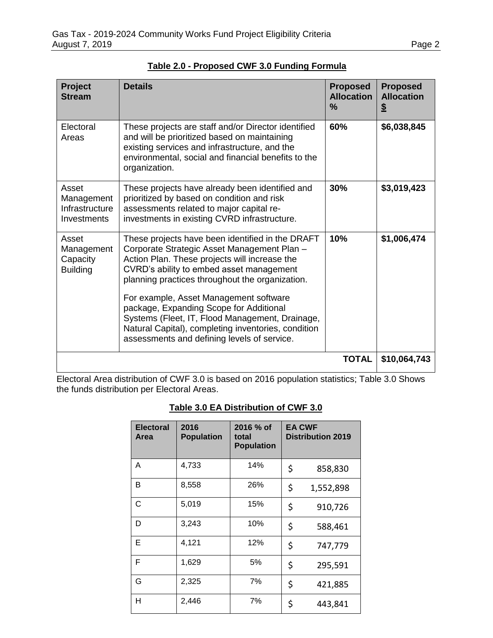| Project<br><b>Stream</b>                                    | <b>Details</b>                                                                                                                                                                                                                                                                                                                                                                                                                                                                                | <b>Proposed</b><br><b>Allocation</b><br>$\frac{9}{6}$ | <b>Proposed</b><br><b>Allocation</b><br>$\boldsymbol{\mathsf{S}}$ |
|-------------------------------------------------------------|-----------------------------------------------------------------------------------------------------------------------------------------------------------------------------------------------------------------------------------------------------------------------------------------------------------------------------------------------------------------------------------------------------------------------------------------------------------------------------------------------|-------------------------------------------------------|-------------------------------------------------------------------|
| Electoral<br>Areas                                          | These projects are staff and/or Director identified<br>and will be prioritized based on maintaining<br>existing services and infrastructure, and the<br>environmental, social and financial benefits to the<br>organization.                                                                                                                                                                                                                                                                  | 60%                                                   | \$6,038,845                                                       |
| Asset<br>Management<br>Infrastructure<br><b>Investments</b> | These projects have already been identified and<br>prioritized by based on condition and risk<br>assessments related to major capital re-<br>investments in existing CVRD infrastructure.                                                                                                                                                                                                                                                                                                     | 30%                                                   | \$3,019,423                                                       |
| Asset<br>Management<br>Capacity<br><b>Building</b>          | These projects have been identified in the DRAFT<br>Corporate Strategic Asset Management Plan -<br>Action Plan. These projects will increase the<br>CVRD's ability to embed asset management<br>planning practices throughout the organization.<br>For example, Asset Management software<br>package, Expanding Scope for Additional<br>Systems (Fleet, IT, Flood Management, Drainage,<br>Natural Capital), completing inventories, condition<br>assessments and defining levels of service. | 10%                                                   | \$1,006,474                                                       |
|                                                             |                                                                                                                                                                                                                                                                                                                                                                                                                                                                                               | <b>TOTAL</b>                                          | \$10,064,743                                                      |

**Table 2.0 - Proposed CWF 3.0 Funding Formula**

Electoral Area distribution of CWF 3.0 is based on 2016 population statistics; Table 3.0 Shows the funds distribution per Electoral Areas.

## **Table 3.0 EA Distribution of CWF 3.0**

| <b>Electoral</b><br>Area | 2016<br><b>Population</b> | 2016 % of<br>total<br><b>Population</b> | <b>EA CWF</b><br><b>Distribution 2019</b> |
|--------------------------|---------------------------|-----------------------------------------|-------------------------------------------|
| A                        | 4,733                     | 14%                                     | \$<br>858,830                             |
| B                        | 8,558                     | 26%                                     | \$<br>1,552,898                           |
| C                        | 5,019                     | 15%                                     | \$<br>910,726                             |
| D                        | 3,243                     | 10%                                     | \$<br>588,461                             |
| Е                        | 4,121                     | 12%                                     | \$<br>747,779                             |
| F                        | 1,629                     | 5%                                      | \$<br>295,591                             |
| G                        | 2,325                     | 7%                                      | \$<br>421,885                             |
| Н                        | 2,446                     | 7%                                      | \$<br>443,841                             |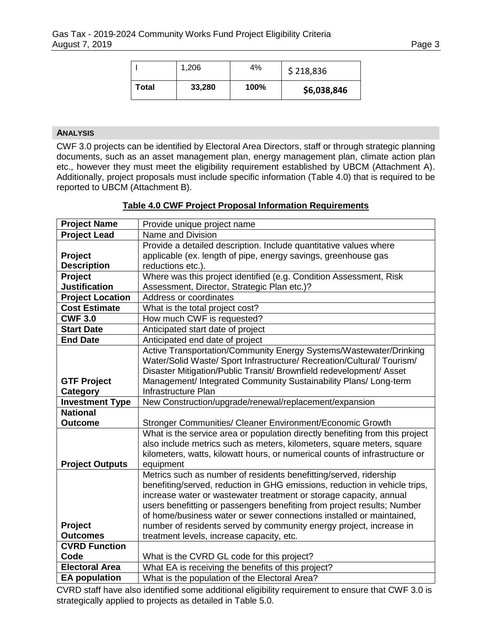|       | 1,206  | 4%   | \$218,836   |
|-------|--------|------|-------------|
| Total | 33,280 | 100% | \$6,038,846 |

## **ANALYSIS**

CWF 3.0 projects can be identified by Electoral Area Directors, staff or through strategic planning documents, such as an asset management plan, energy management plan, climate action plan etc., however they must meet the eligibility requirement established by UBCM (Attachment A). Additionally, project proposals must include specific information (Table 4.0) that is required to be reported to UBCM (Attachment B).

| <b>Project Name</b>     |                                                                              |
|-------------------------|------------------------------------------------------------------------------|
|                         | Provide unique project name                                                  |
| <b>Project Lead</b>     | Name and Division                                                            |
|                         | Provide a detailed description. Include quantitative values where            |
| Project                 | applicable (ex. length of pipe, energy savings, greenhouse gas               |
| <b>Description</b>      | reductions etc.).                                                            |
| Project                 | Where was this project identified (e.g. Condition Assessment, Risk           |
| <b>Justification</b>    | Assessment, Director, Strategic Plan etc.)?                                  |
| <b>Project Location</b> | Address or coordinates                                                       |
| <b>Cost Estimate</b>    | What is the total project cost?                                              |
| <b>CWF 3.0</b>          | How much CWF is requested?                                                   |
| <b>Start Date</b>       | Anticipated start date of project                                            |
| <b>End Date</b>         | Anticipated end date of project                                              |
|                         | Active Transportation/Community Energy Systems/Wastewater/Drinking           |
|                         | Water/Solid Waste/ Sport Infrastructure/ Recreation/Cultural/ Tourism/       |
|                         | Disaster Mitigation/Public Transit/ Brownfield redevelopment/ Asset          |
| <b>GTF Project</b>      | Management/ Integrated Community Sustainability Plans/ Long-term             |
| Category                | Infrastructure Plan                                                          |
| <b>Investment Type</b>  | New Construction/upgrade/renewal/replacement/expansion                       |
| <b>National</b>         |                                                                              |
| <b>Outcome</b>          | Stronger Communities/ Cleaner Environment/Economic Growth                    |
|                         | What is the service area or population directly benefiting from this project |
|                         | also include metrics such as meters, kilometers, square meters, square       |
|                         | kilometers, watts, kilowatt hours, or numerical counts of infrastructure or  |
| <b>Project Outputs</b>  | equipment                                                                    |
|                         | Metrics such as number of residents benefitting/served, ridership            |
|                         | benefiting/served, reduction in GHG emissions, reduction in vehicle trips,   |
|                         | increase water or wastewater treatment or storage capacity, annual           |
|                         | users benefitting or passengers benefiting from project results; Number      |
|                         | of home/business water or sewer connections installed or maintained,         |
| Project                 | number of residents served by community energy project, increase in          |
| <b>Outcomes</b>         | treatment levels, increase capacity, etc.                                    |
| <b>CVRD Function</b>    |                                                                              |
| Code                    | What is the CVRD GL code for this project?                                   |
| <b>Electoral Area</b>   | What EA is receiving the benefits of this project?                           |
| <b>EA population</b>    | What is the population of the Electoral Area?                                |

## **Table 4.0 CWF Project Proposal Information Requirements**

CVRD staff have also identified some additional eligibility requirement to ensure that CWF 3.0 is strategically applied to projects as detailed in Table 5.0.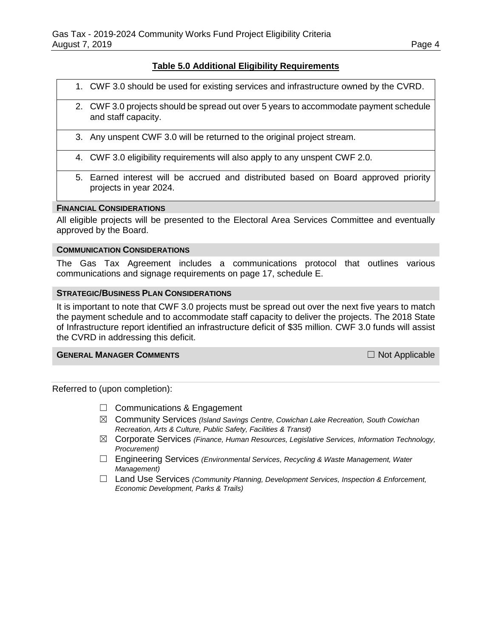## **Table 5.0 Additional Eligibility Requirements**

- 1. CWF 3.0 should be used for existing services and infrastructure owned by the CVRD.
- 2. CWF 3.0 projects should be spread out over 5 years to accommodate payment schedule and staff capacity.
- 3. Any unspent CWF 3.0 will be returned to the original project stream.
- 4. CWF 3.0 eligibility requirements will also apply to any unspent CWF 2.0.
- 5. Earned interest will be accrued and distributed based on Board approved priority projects in year 2024.

#### **FINANCIAL CONSIDERATIONS**

All eligible projects will be presented to the Electoral Area Services Committee and eventually approved by the Board.

#### **COMMUNICATION CONSIDERATIONS**

The Gas Tax Agreement includes a communications protocol that outlines various communications and signage requirements on page 17, schedule E.

#### **STRATEGIC/BUSINESS PLAN CONSIDERATIONS**

It is important to note that CWF 3.0 projects must be spread out over the next five years to match the payment schedule and to accommodate staff capacity to deliver the projects. The 2018 State of Infrastructure report identified an infrastructure deficit of \$35 million. CWF 3.0 funds will assist the CVRD in addressing this deficit.

## **GENERAL MANAGER COMMENTS** ☐ Not Applicable

Referred to (upon completion):

- □ Communications & Engagement
- ☒ Community Services *(Island Savings Centre, Cowichan Lake Recreation, South Cowichan Recreation, Arts & Culture, Public Safety, Facilities & Transit)*
- ☒ Corporate Services *(Finance, Human Resources, Legislative Services, Information Technology, Procurement)*
- ☐ Engineering Services *(Environmental Services, Recycling & Waste Management, Water Management)*
- ☐ Land Use Services *(Community Planning, Development Services, Inspection & Enforcement, Economic Development, Parks & Trails)*